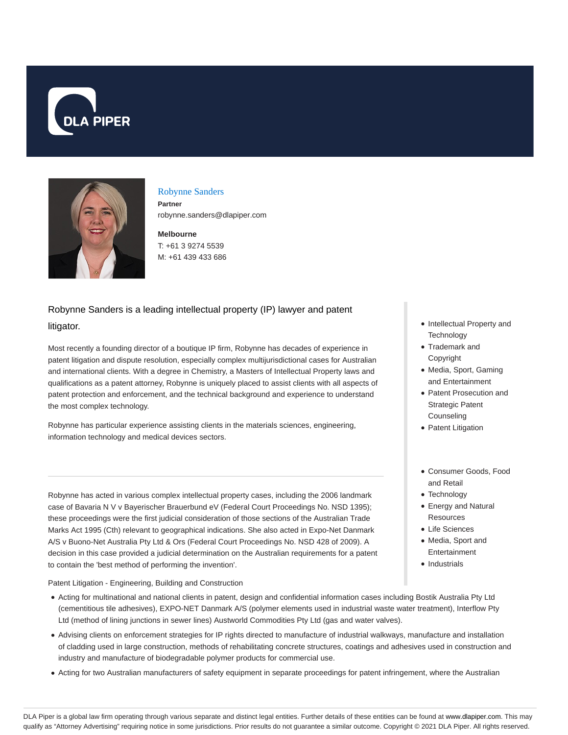



### Robynne Sanders

**Partner** robynne.sanders@dlapiper.com

**Melbourne** T: +61 3 9274 5539 M: +61 439 433 686

# Robynne Sanders is a leading intellectual property (IP) lawyer and patent litigator.

Most recently a founding director of a boutique IP firm, Robynne has decades of experience in patent litigation and dispute resolution, especially complex multijurisdictional cases for Australian and international clients. With a degree in Chemistry, a Masters of Intellectual Property laws and qualifications as a patent attorney, Robynne is uniquely placed to assist clients with all aspects of patent protection and enforcement, and the technical background and experience to understand the most complex technology.

Robynne has particular experience assisting clients in the materials sciences, engineering, information technology and medical devices sectors.

Robynne has acted in various complex intellectual property cases, including the 2006 landmark case of Bavaria N V v Bayerischer Brauerbund eV (Federal Court Proceedings No. NSD 1395); these proceedings were the first judicial consideration of those sections of the Australian Trade Marks Act 1995 (Cth) relevant to geographical indications. She also acted in Expo-Net Danmark A/S v Buono-Net Australia Pty Ltd & Ors (Federal Court Proceedings No. NSD 428 of 2009). A decision in this case provided a judicial determination on the Australian requirements for a patent to contain the 'best method of performing the invention'.

Patent Litigation - Engineering, Building and Construction

- Acting for multinational and national clients in patent, design and confidential information cases including Bostik Australia Pty Ltd (cementitious tile adhesives), EXPO-NET Danmark A/S (polymer elements used in industrial waste water treatment), Interflow Pty Ltd (method of lining junctions in sewer lines) Austworld Commodities Pty Ltd (gas and water valves).
- Advising clients on enforcement strategies for IP rights directed to manufacture of industrial walkways, manufacture and installation of cladding used in large construction, methods of rehabilitating concrete structures, coatings and adhesives used in construction and industry and manufacture of biodegradable polymer products for commercial use.
- Acting for two Australian manufacturers of safety equipment in separate proceedings for patent infringement, where the Australian
- Intellectual Property and **Technology**
- Trademark and Copyright
- Media, Sport, Gaming and Entertainment
- Patent Prosecution and Strategic Patent **Counseling**
- Patent Litigation
- Consumer Goods, Food and Retail
- Technology
- Energy and Natural **Resources**
- Life Sciences
- Media, Sport and Entertainment
- Industrials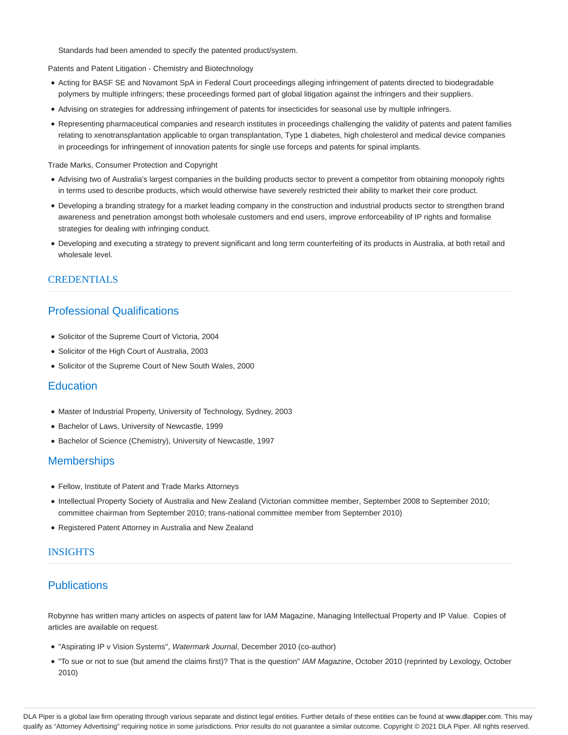Standards had been amended to specify the patented product/system.

Patents and Patent Litigation - Chemistry and Biotechnology

- Acting for BASF SE and Novamont SpA in Federal Court proceedings alleging infringement of patents directed to biodegradable polymers by multiple infringers; these proceedings formed part of global litigation against the infringers and their suppliers.
- Advising on strategies for addressing infringement of patents for insecticides for seasonal use by multiple infringers.
- Representing pharmaceutical companies and research institutes in proceedings challenging the validity of patents and patent families relating to xenotransplantation applicable to organ transplantation, Type 1 diabetes, high cholesterol and medical device companies in proceedings for infringement of innovation patents for single use forceps and patents for spinal implants.

#### Trade Marks, Consumer Protection and Copyright

- Advising two of Australia's largest companies in the building products sector to prevent a competitor from obtaining monopoly rights in terms used to describe products, which would otherwise have severely restricted their ability to market their core product.
- Developing a branding strategy for a market leading company in the construction and industrial products sector to strengthen brand awareness and penetration amongst both wholesale customers and end users, improve enforceability of IP rights and formalise strategies for dealing with infringing conduct.
- Developing and executing a strategy to prevent significant and long term counterfeiting of its products in Australia, at both retail and wholesale level.

#### CREDENTIALS

## Professional Qualifications

- Solicitor of the Supreme Court of Victoria, 2004
- Solicitor of the High Court of Australia, 2003
- Solicitor of the Supreme Court of New South Wales, 2000

#### **Education**

- Master of Industrial Property, University of Technology, Sydney, 2003
- Bachelor of Laws, University of Newcastle, 1999
- Bachelor of Science (Chemistry), University of Newcastle, 1997

### **Memberships**

- Fellow, Institute of Patent and Trade Marks Attorneys
- Intellectual Property Society of Australia and New Zealand (Victorian committee member, September 2008 to September 2010; committee chairman from September 2010; trans-national committee member from September 2010)
- Registered Patent Attorney in Australia and New Zealand

### INSIGHTS

### **Publications**

Robynne has written many articles on aspects of patent law for IAM Magazine, Managing Intellectual Property and IP Value. Copies of articles are available on request.

- "Aspirating IP v Vision Systems", Watermark Journal, December 2010 (co-author)
- . "To sue or not to sue (but amend the claims first)? That is the question" IAM Magazine, October 2010 (reprinted by Lexology, October 2010)